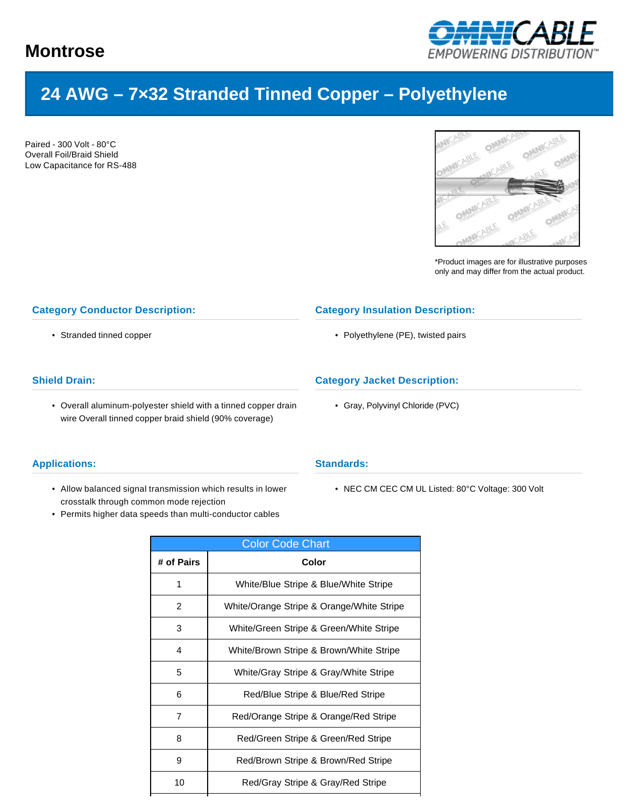

# **24 AWG – 7×32 Stranded Tinned Copper – Polyethylene**

Paired - 300 Volt - 80°C Overall Foil/Braid Shield Low Capacitance for RS-488



\*Product images are for illustrative purposes only and may differ from the actual product.

### **Category Conductor Description:**

• Stranded tinned copper

# **Shield Drain:**

• Overall aluminum-polyester shield with a tinned copper drain wire Overall tinned copper braid shield (90% coverage)

#### **Applications:**

- Allow balanced signal transmission which results in lower crosstalk through common mode rejection
- Permits higher data speeds than multi-conductor cables

# **Category Insulation Description:**

• Polyethylene (PE), twisted pairs

# **Category Jacket Description:**

• Gray, Polyvinyl Chloride (PVC)

#### **Standards:**

• NEC CM CEC CM UL Listed: 80°C Voltage: 300 Volt

| <b>Color Code Chart</b> |                                           |  |  |  |  |  |
|-------------------------|-------------------------------------------|--|--|--|--|--|
| # of Pairs              | Color                                     |  |  |  |  |  |
| 1                       | White/Blue Stripe & Blue/White Stripe     |  |  |  |  |  |
| 2                       | White/Orange Stripe & Orange/White Stripe |  |  |  |  |  |
| 3                       | White/Green Stripe & Green/White Stripe   |  |  |  |  |  |
| 4                       | White/Brown Stripe & Brown/White Stripe   |  |  |  |  |  |
| 5                       | White/Gray Stripe & Gray/White Stripe     |  |  |  |  |  |
| 6                       | Red/Blue Stripe & Blue/Red Stripe         |  |  |  |  |  |
| 7                       | Red/Orange Stripe & Orange/Red Stripe     |  |  |  |  |  |
| 8                       | Red/Green Stripe & Green/Red Stripe       |  |  |  |  |  |
| 9                       | Red/Brown Stripe & Brown/Red Stripe       |  |  |  |  |  |
| 10                      | Red/Gray Stripe & Gray/Red Stripe         |  |  |  |  |  |
|                         |                                           |  |  |  |  |  |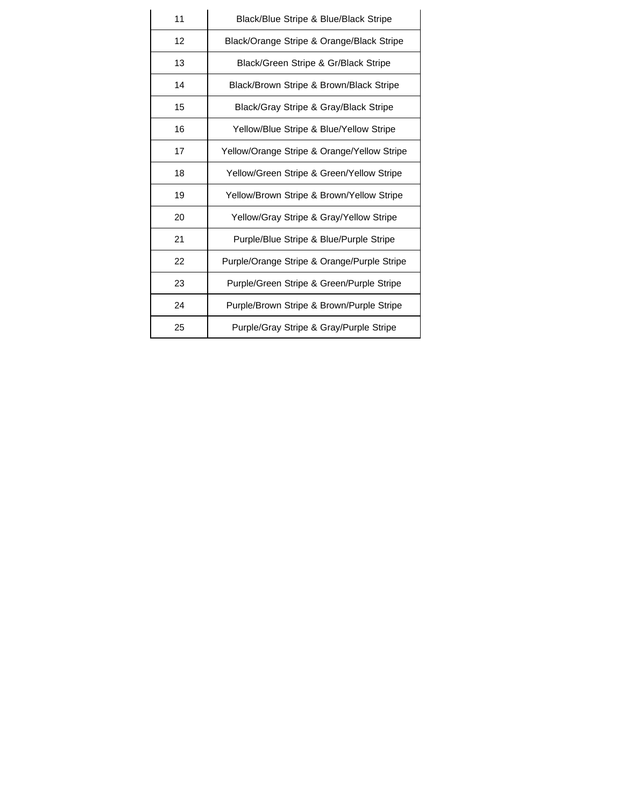| 11 | Black/Blue Stripe & Blue/Black Stripe       |  |  |  |  |
|----|---------------------------------------------|--|--|--|--|
| 12 | Black/Orange Stripe & Orange/Black Stripe   |  |  |  |  |
| 13 | Black/Green Stripe & Gr/Black Stripe        |  |  |  |  |
| 14 | Black/Brown Stripe & Brown/Black Stripe     |  |  |  |  |
| 15 | Black/Gray Stripe & Gray/Black Stripe       |  |  |  |  |
| 16 | Yellow/Blue Stripe & Blue/Yellow Stripe     |  |  |  |  |
| 17 | Yellow/Orange Stripe & Orange/Yellow Stripe |  |  |  |  |
| 18 | Yellow/Green Stripe & Green/Yellow Stripe   |  |  |  |  |
| 19 | Yellow/Brown Stripe & Brown/Yellow Stripe   |  |  |  |  |
| 20 | Yellow/Gray Stripe & Gray/Yellow Stripe     |  |  |  |  |
| 21 | Purple/Blue Stripe & Blue/Purple Stripe     |  |  |  |  |
| 22 | Purple/Orange Stripe & Orange/Purple Stripe |  |  |  |  |
| 23 | Purple/Green Stripe & Green/Purple Stripe   |  |  |  |  |
| 24 | Purple/Brown Stripe & Brown/Purple Stripe   |  |  |  |  |
| 25 | Purple/Gray Stripe & Gray/Purple Stripe     |  |  |  |  |